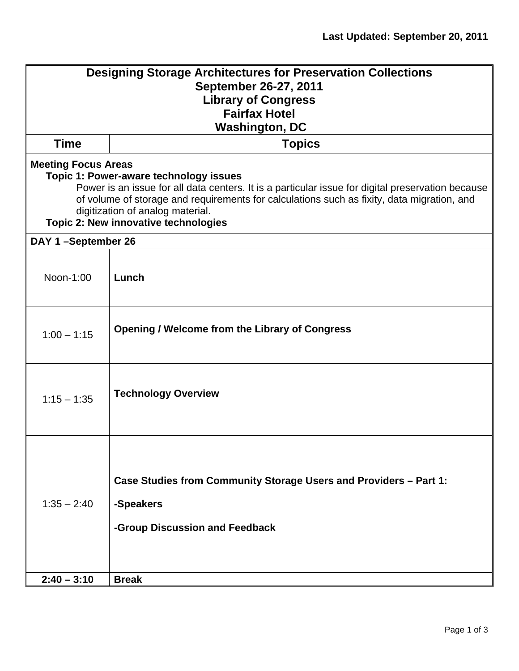| <b>Designing Storage Architectures for Preservation Collections</b><br>September 26-27, 2011<br><b>Library of Congress</b><br><b>Fairfax Hotel</b><br><b>Washington, DC</b>                                                                                                                                                                         |                                                                                                                  |  |
|-----------------------------------------------------------------------------------------------------------------------------------------------------------------------------------------------------------------------------------------------------------------------------------------------------------------------------------------------------|------------------------------------------------------------------------------------------------------------------|--|
| <b>Time</b>                                                                                                                                                                                                                                                                                                                                         | <b>Topics</b>                                                                                                    |  |
| <b>Meeting Focus Areas</b><br>Topic 1: Power-aware technology issues<br>Power is an issue for all data centers. It is a particular issue for digital preservation because<br>of volume of storage and requirements for calculations such as fixity, data migration, and<br>digitization of analog material.<br>Topic 2: New innovative technologies |                                                                                                                  |  |
| DAY 1-September 26                                                                                                                                                                                                                                                                                                                                  |                                                                                                                  |  |
| Noon-1:00                                                                                                                                                                                                                                                                                                                                           | Lunch                                                                                                            |  |
| $1:00 - 1:15$                                                                                                                                                                                                                                                                                                                                       | <b>Opening / Welcome from the Library of Congress</b>                                                            |  |
| $1:15 - 1:35$                                                                                                                                                                                                                                                                                                                                       | <b>Technology Overview</b>                                                                                       |  |
| $1:35 - 2:40$                                                                                                                                                                                                                                                                                                                                       | Case Studies from Community Storage Users and Providers - Part 1:<br>-Speakers<br>-Group Discussion and Feedback |  |
| $2:40 - 3:10$                                                                                                                                                                                                                                                                                                                                       | <b>Break</b>                                                                                                     |  |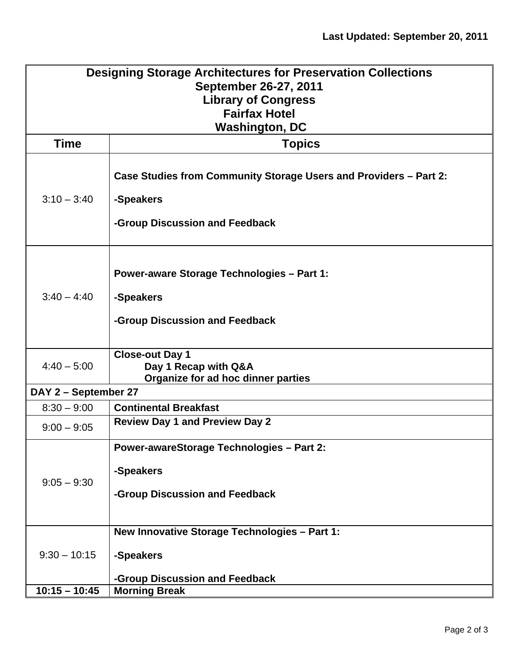| <b>Designing Storage Architectures for Preservation Collections</b> |                                                                                |  |
|---------------------------------------------------------------------|--------------------------------------------------------------------------------|--|
| September 26-27, 2011                                               |                                                                                |  |
| <b>Library of Congress</b>                                          |                                                                                |  |
| <b>Fairfax Hotel</b><br><b>Washington, DC</b>                       |                                                                                |  |
| <b>Time</b>                                                         |                                                                                |  |
|                                                                     | <b>Topics</b>                                                                  |  |
| $3:10 - 3:40$                                                       | Case Studies from Community Storage Users and Providers – Part 2:<br>-Speakers |  |
|                                                                     | -Group Discussion and Feedback                                                 |  |
| $3:40 - 4:40$                                                       | <b>Power-aware Storage Technologies - Part 1:</b>                              |  |
|                                                                     | -Speakers<br>-Group Discussion and Feedback                                    |  |
| $4:40 - 5:00$                                                       | <b>Close-out Day 1</b><br>Day 1 Recap with Q&A                                 |  |
|                                                                     | Organize for ad hoc dinner parties                                             |  |
| DAY 2 - September 27<br>$8:30 - 9:00$                               | <b>Continental Breakfast</b>                                                   |  |
| $9:00 - 9:05$                                                       | <b>Review Day 1 and Preview Day 2</b>                                          |  |
| $9:05 - 9:30$                                                       | <b>Power-awareStorage Technologies - Part 2:</b>                               |  |
|                                                                     | -Speakers                                                                      |  |
|                                                                     | -Group Discussion and Feedback                                                 |  |
|                                                                     | New Innovative Storage Technologies - Part 1:                                  |  |
| $9:30 - 10:15$                                                      | -Speakers                                                                      |  |
|                                                                     | -Group Discussion and Feedback                                                 |  |
| $10:15 - 10:45$                                                     | <b>Morning Break</b>                                                           |  |